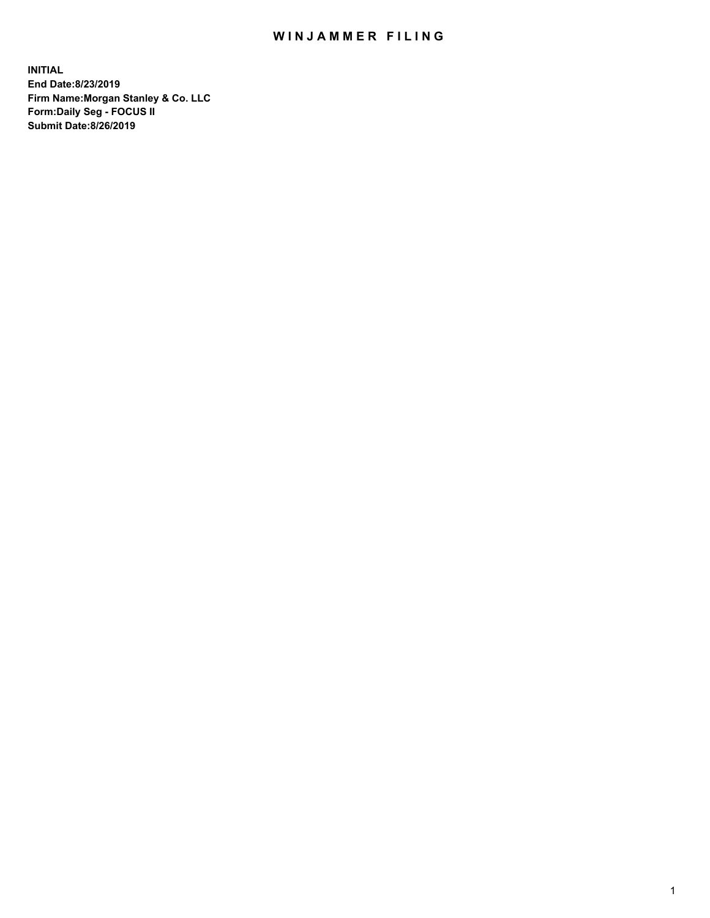## WIN JAMMER FILING

**INITIAL End Date:8/23/2019 Firm Name:Morgan Stanley & Co. LLC Form:Daily Seg - FOCUS II Submit Date:8/26/2019**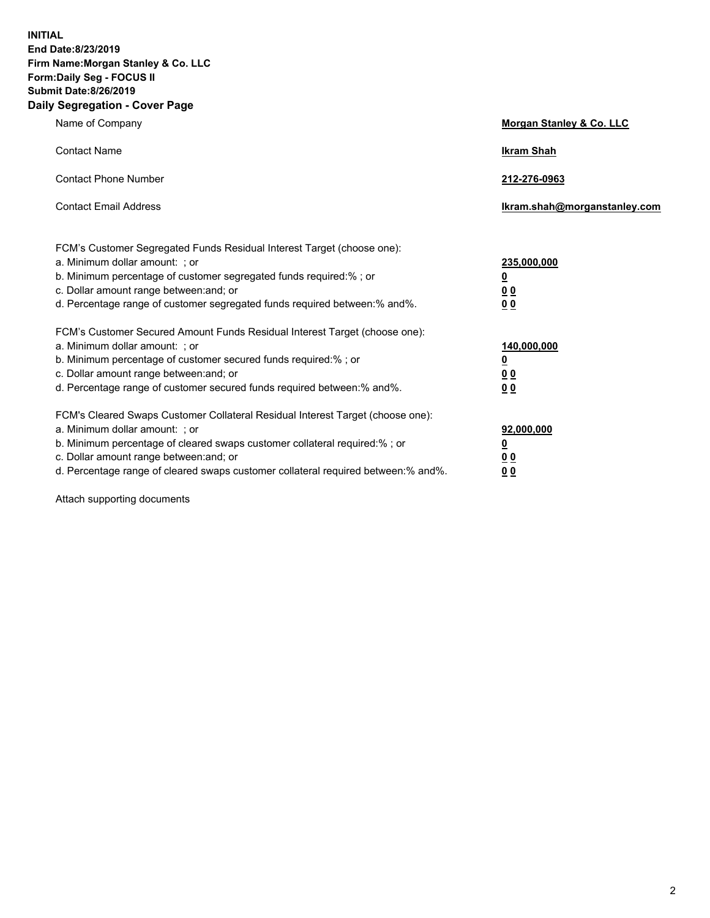**INITIAL End Date:8/23/2019 Firm Name:Morgan Stanley & Co. LLC Form:Daily Seg - FOCUS II Submit Date:8/26/2019 Daily Segregation - Cover Page**

| Name of Company                                                                   | Morgan Stanley & Co. LLC     |
|-----------------------------------------------------------------------------------|------------------------------|
| <b>Contact Name</b>                                                               | <b>Ikram Shah</b>            |
| <b>Contact Phone Number</b>                                                       | 212-276-0963                 |
| <b>Contact Email Address</b>                                                      | Ikram.shah@morganstanley.com |
| FCM's Customer Segregated Funds Residual Interest Target (choose one):            |                              |
| a. Minimum dollar amount: ; or                                                    | 235,000,000                  |
| b. Minimum percentage of customer segregated funds required:% ; or                | <u>0</u>                     |
| c. Dollar amount range between: and; or                                           | <u>0 0</u>                   |
| d. Percentage range of customer segregated funds required between: % and %.       | 0 Q                          |
| FCM's Customer Secured Amount Funds Residual Interest Target (choose one):        |                              |
| a. Minimum dollar amount: ; or                                                    | 140,000,000                  |
| b. Minimum percentage of customer secured funds required:%; or                    | <u>0</u>                     |
| c. Dollar amount range between: and; or                                           | 0 <sub>0</sub>               |
| d. Percentage range of customer secured funds required between:% and%.            | 0 <sub>0</sub>               |
| FCM's Cleared Swaps Customer Collateral Residual Interest Target (choose one):    |                              |
| a. Minimum dollar amount: ; or                                                    | 92,000,000                   |
| b. Minimum percentage of cleared swaps customer collateral required:% ; or        | <u>0</u>                     |
| c. Dollar amount range between: and; or                                           | 0 Q                          |
| d. Percentage range of cleared swaps customer collateral required between:% and%. | 00                           |

Attach supporting documents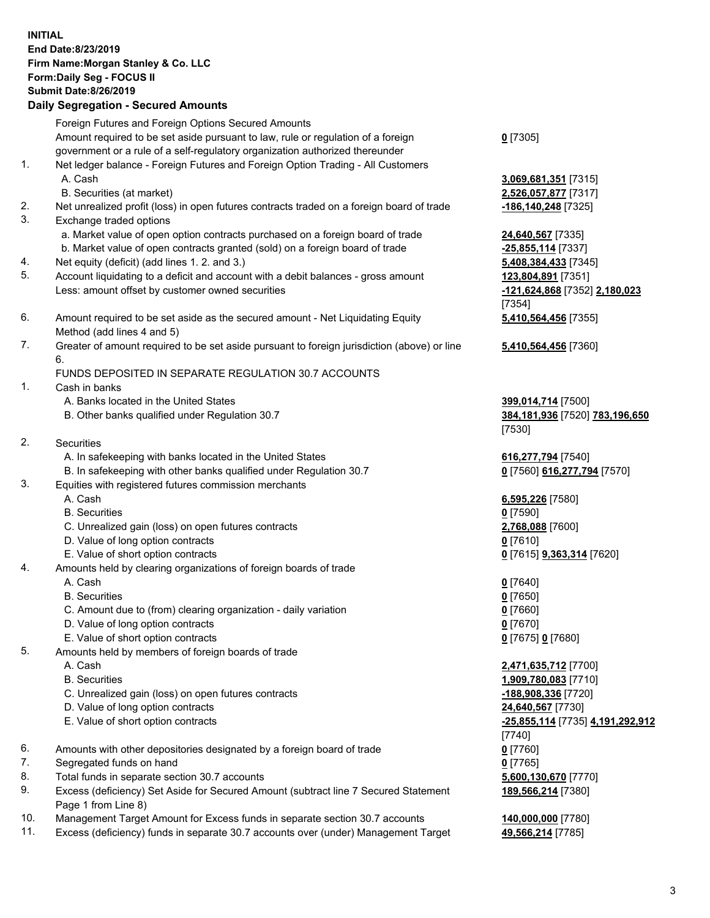## **INITIAL End Date:8/23/2019 Firm Name:Morgan Stanley & Co. LLC Form:Daily Seg - FOCUS II Submit Date:8/26/2019 Daily Segregation - Secured Amounts** Foreign Futures and Foreign Options Secured Amounts Amount required to be set aside pursuant to law, rule or regulation of a foreign government or a rule of a self-regulatory organization authorized thereunder 1. Net ledger balance - Foreign Futures and Foreign Option Trading - All Customers A. Cash **3,069,681,351** [7315] B. Securities (at market) **2,526,057,877** [7317] 2. Net unrealized profit (loss) in open futures contracts traded on a foreign board of trade **-186,140,248** [7325] 3. Exchange traded options a. Market value of open option contracts purchased on a foreign board of trade **24,640,567** [7335] b. Market value of open contracts granted (sold) on a foreign board of trade **-25,855,114** [7337] 4. Net equity (deficit) (add lines 1. 2. and 3.) **5,408,384,433** [7345] 5. Account liquidating to a deficit and account with a debit balances - gross amount **123,804,891** [7351] Less: amount offset by customer owned securities **-121,624,868** [7352] **2,180,023** 6. Amount required to be set aside as the secured amount - Net Liquidating Equity Method (add lines 4 and 5) 7. Greater of amount required to be set aside pursuant to foreign jurisdiction (above) or line 6. FUNDS DEPOSITED IN SEPARATE REGULATION 30.7 ACCOUNTS

- 1. Cash in banks
	- A. Banks located in the United States **399,014,714** [7500]
	- B. Other banks qualified under Regulation 30.7 **384,181,936** [7520] **783,196,650**
- 2. Securities
	- A. In safekeeping with banks located in the United States **616,277,794** [7540]
	- B. In safekeeping with other banks qualified under Regulation 30.7 **0** [7560] **616,277,794** [7570]
- 3. Equities with registered futures commission merchants
	-
	- B. Securities **0** [7590]
	- C. Unrealized gain (loss) on open futures contracts **2,768,088** [7600]
	- D. Value of long option contracts **0** [7610]
- E. Value of short option contracts **0** [7615] **9,363,314** [7620]
- 4. Amounts held by clearing organizations of foreign boards of trade
	- A. Cash **0** [7640]
	- B. Securities **0** [7650]
	- C. Amount due to (from) clearing organization daily variation **0** [7660]
	- D. Value of long option contracts **0** [7670]
	- E. Value of short option contracts **0** [7675] **0** [7680]
- 5. Amounts held by members of foreign boards of trade
	-
	-
	- C. Unrealized gain (loss) on open futures contracts **-188,908,336** [7720]
	- D. Value of long option contracts **24,640,567** [7730]
	- E. Value of short option contracts **-25,855,114** [7735] **4,191,292,912**
- 6. Amounts with other depositories designated by a foreign board of trade **0** [7760]
- 7. Segregated funds on hand **0** [7765]
- 8. Total funds in separate section 30.7 accounts **5,600,130,670** [7770]
- 9. Excess (deficiency) Set Aside for Secured Amount (subtract line 7 Secured Statement Page 1 from Line 8)
- 10. Management Target Amount for Excess funds in separate section 30.7 accounts **140,000,000** [7780]
- 11. Excess (deficiency) funds in separate 30.7 accounts over (under) Management Target **49,566,214** [7785]

**0** [7305]

[7354] **5,410,564,456** [7355]

**5,410,564,456** [7360]

[7530]

A. Cash **6,595,226** [7580]

 A. Cash **2,471,635,712** [7700] B. Securities **1,909,780,083** [7710] [7740] **189,566,214** [7380]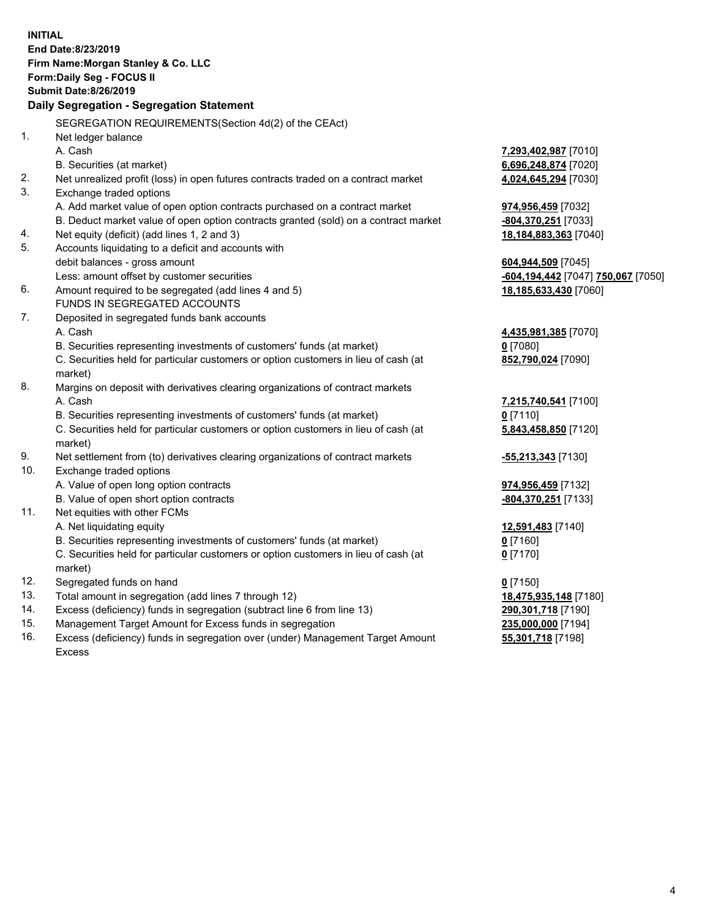|     | <b>INITIAL</b><br>End Date: 8/23/2019<br>Firm Name: Morgan Stanley & Co. LLC<br>Form: Daily Seg - FOCUS II<br><b>Submit Date: 8/26/2019</b> |                                    |
|-----|---------------------------------------------------------------------------------------------------------------------------------------------|------------------------------------|
|     | Daily Segregation - Segregation Statement                                                                                                   |                                    |
|     | SEGREGATION REQUIREMENTS(Section 4d(2) of the CEAct)                                                                                        |                                    |
| 1.  | Net ledger balance                                                                                                                          |                                    |
|     | A. Cash                                                                                                                                     | 7,293,402,987 [7010]               |
|     | B. Securities (at market)                                                                                                                   | 6,696,248,874 [7020]               |
| 2.  | Net unrealized profit (loss) in open futures contracts traded on a contract market                                                          | 4,024,645,294 [7030]               |
| 3.  | Exchange traded options                                                                                                                     |                                    |
|     | A. Add market value of open option contracts purchased on a contract market                                                                 | 974,956,459 [7032]                 |
|     | B. Deduct market value of open option contracts granted (sold) on a contract market                                                         | -804,370,251 [7033]                |
| 4.  | Net equity (deficit) (add lines 1, 2 and 3)                                                                                                 | 18,184,883,363 [7040]              |
| 5.  | Accounts liquidating to a deficit and accounts with                                                                                         |                                    |
|     | debit balances - gross amount                                                                                                               | 604,944,509 [7045]                 |
|     | Less: amount offset by customer securities                                                                                                  | -604,194,442 [7047] 750,067 [7050] |
| 6.  | Amount required to be segregated (add lines 4 and 5)                                                                                        | 18,185,633,430 [7060]              |
|     | FUNDS IN SEGREGATED ACCOUNTS                                                                                                                |                                    |
| 7.  | Deposited in segregated funds bank accounts                                                                                                 |                                    |
|     | A. Cash                                                                                                                                     | 4,435,981,385 [7070]               |
|     | B. Securities representing investments of customers' funds (at market)                                                                      | $0$ [7080]                         |
|     | C. Securities held for particular customers or option customers in lieu of cash (at                                                         | 852,790,024 [7090]                 |
|     | market)                                                                                                                                     |                                    |
| 8.  | Margins on deposit with derivatives clearing organizations of contract markets                                                              |                                    |
|     | A. Cash                                                                                                                                     | 7,215,740,541 [7100]               |
|     | B. Securities representing investments of customers' funds (at market)                                                                      | $0$ [7110]                         |
|     | C. Securities held for particular customers or option customers in lieu of cash (at<br>market)                                              | 5,843,458,850 [7120]               |
| 9.  | Net settlement from (to) derivatives clearing organizations of contract markets                                                             | <u>-55,213,343</u> [7130]          |
| 10. | Exchange traded options                                                                                                                     |                                    |
|     | A. Value of open long option contracts                                                                                                      | 974,956,459 [7132]                 |
|     | B. Value of open short option contracts                                                                                                     | -804,370,251 [7133]                |
| 11. | Net equities with other FCMs                                                                                                                |                                    |
|     | A. Net liquidating equity                                                                                                                   | 12,591,483 [7140]                  |
|     | B. Securities representing investments of customers' funds (at market)                                                                      | $0$ [7160]                         |
|     | C. Securities held for particular customers or option customers in lieu of cash (at                                                         | $0$ [7170]                         |
|     | market)                                                                                                                                     |                                    |
| 12. | Segregated funds on hand                                                                                                                    | $0$ [7150]                         |
| 13. | Total amount in segregation (add lines 7 through 12)                                                                                        | 18,475,935,148 [7180]              |
| 14. | Excess (deficiency) funds in segregation (subtract line 6 from line 13)                                                                     | 290,301,718 [7190]                 |
| 15. | Management Target Amount for Excess funds in segregation                                                                                    | 235,000,000 [7194]                 |
| 16. | Excess (deficiency) funds in segregation over (under) Management Target Amount                                                              | 55,301,718 [7198]                  |

16. Excess (deficiency) funds in segregation over (under) Management Target Amount Excess